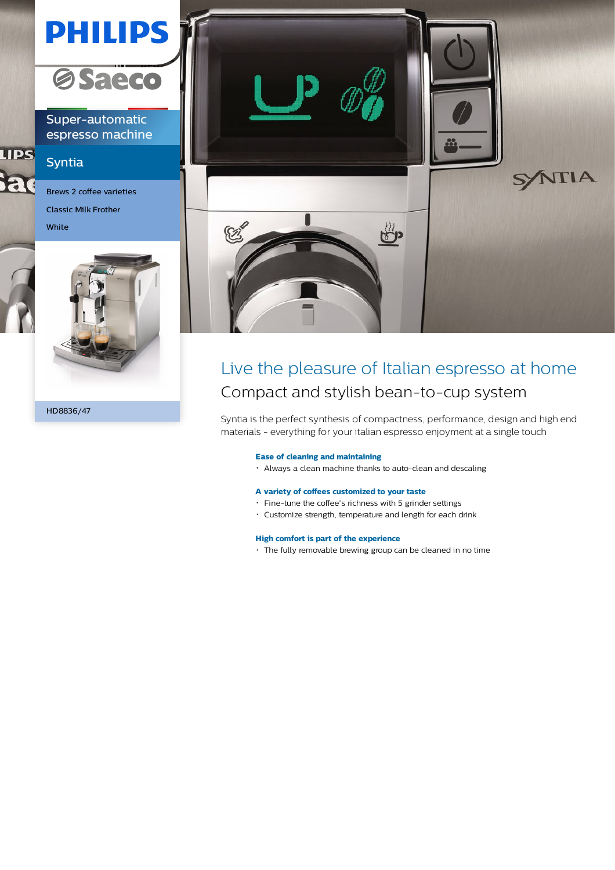# **PHILIPS**



Super-automatic espresso machine

## Syntia

**LIPS** 

a

Brews 2 coffee varieties Classic Milk Frother

White



HD8836/47



## Live the pleasure of Italian espresso at home Compact and stylish bean-to-cup system

Syntia is the perfect synthesis of compactness, performance, design and high end materials - everything for your italian espresso enjoyment at a single touch

#### **Ease of cleaning and maintaining**

Always a clean machine thanks to auto-clean and descaling

### **A variety of coffees customized to your taste**

- Fine-tune the coffee's richness with 5 grinder settings
- Customize strength, temperature and length for each drink

#### **High comfort is part of the experience**

The fully removable brewing group can be cleaned in no time